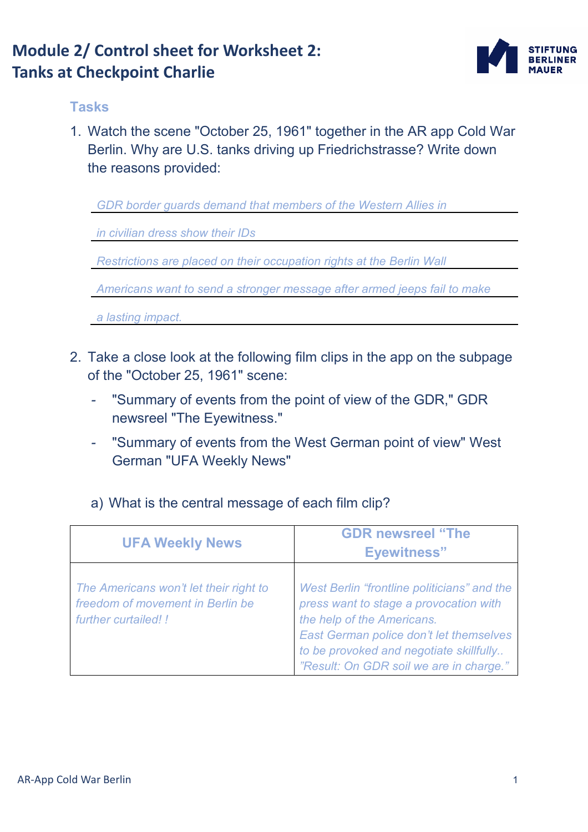### **Module 2/ Control sheet for Worksheet 2: Tanks at Checkpoint Charlie**



#### **Tasks**

1. Watch the scene "October 25, 1961" together in the AR app Cold War Berlin. Why are U.S. tanks driving up Friedrichstrasse? Write down the reasons provided:

*GDR border guards demand that members of the Western Allies in* 

*in civilian dress show their IDs* 

*Restrictions are placed on their occupation rights at the Berlin Wall* 

*Americans want to send a stronger message after armed jeeps fail to make* 

*a lasting impact.* 

- 2. Take a close look at the following film clips in the app on the subpage of the "October 25, 1961" scene:
	- "Summary of events from the point of view of the GDR," GDR newsreel "The Eyewitness."
	- "Summary of events from the West German point of view" West German "UFA Weekly News"

### a) What is the central message of each film clip?

| <b>UFA Weekly News</b>                                                                             | <b>GDR newsreel "The</b><br><b>Eyewitness</b> "                                                                                                                                                                                                      |
|----------------------------------------------------------------------------------------------------|------------------------------------------------------------------------------------------------------------------------------------------------------------------------------------------------------------------------------------------------------|
| The Americans won't let their right to<br>freedom of movement in Berlin be<br>further curtailed! ! | West Berlin "frontline politicians" and the<br>press want to stage a provocation with<br>the help of the Americans.<br>East German police don't let themselves<br>to be provoked and negotiate skillfully<br>"Result: On GDR soil we are in charge." |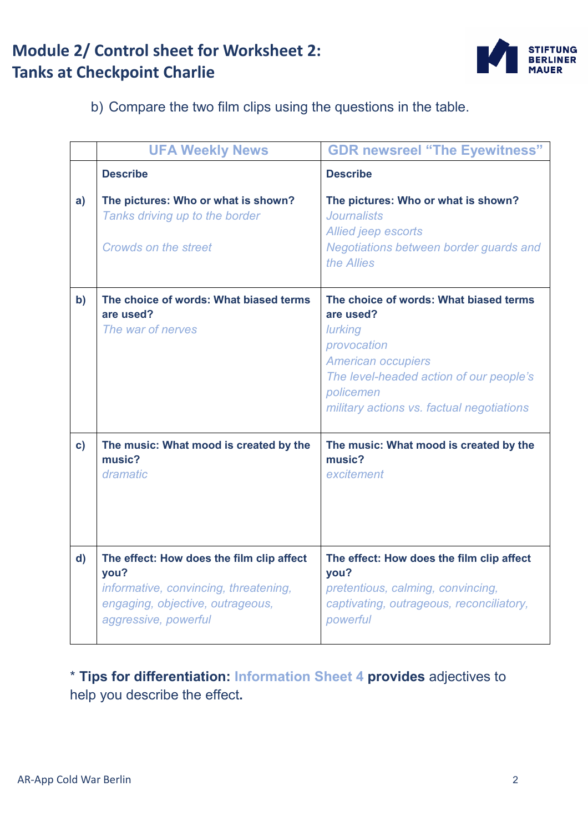## **Module 2/ Control sheet for Worksheet 2: Tanks at Checkpoint Charlie**



b) Compare the two film clips using the questions in the table.

|              | <b>UFA Weekly News</b>                                                                                                                                 | <b>GDR newsreel "The Eyewitness"</b>                                                                                                                                                                            |
|--------------|--------------------------------------------------------------------------------------------------------------------------------------------------------|-----------------------------------------------------------------------------------------------------------------------------------------------------------------------------------------------------------------|
|              | <b>Describe</b>                                                                                                                                        | <b>Describe</b>                                                                                                                                                                                                 |
| a)           | The pictures: Who or what is shown?<br>Tanks driving up to the border<br>Crowds on the street                                                          | The pictures: Who or what is shown?<br><b>Journalists</b><br>Allied jeep escorts<br>Negotiations between border guards and<br>the Allies                                                                        |
| $\mathbf{b}$ | The choice of words: What biased terms<br>are used?<br>The war of nerves                                                                               | The choice of words: What biased terms<br>are used?<br>lurking<br>provocation<br><b>American occupiers</b><br>The level-headed action of our people's<br>policemen<br>military actions vs. factual negotiations |
| $\mathbf{c}$ | The music: What mood is created by the<br>music?<br>dramatic                                                                                           | The music: What mood is created by the<br>music?<br>excitement                                                                                                                                                  |
| $\mathbf{d}$ | The effect: How does the film clip affect<br>you?<br>informative, convincing, threatening,<br>engaging, objective, outrageous,<br>aggressive, powerful | The effect: How does the film clip affect<br>you?<br>pretentious, calming, convincing,<br>captivating, outrageous, reconciliatory,<br>powerful                                                                  |

\* **Tips for differentiation: Information Sheet 4 provides** adjectives to help you describe the effect**.**